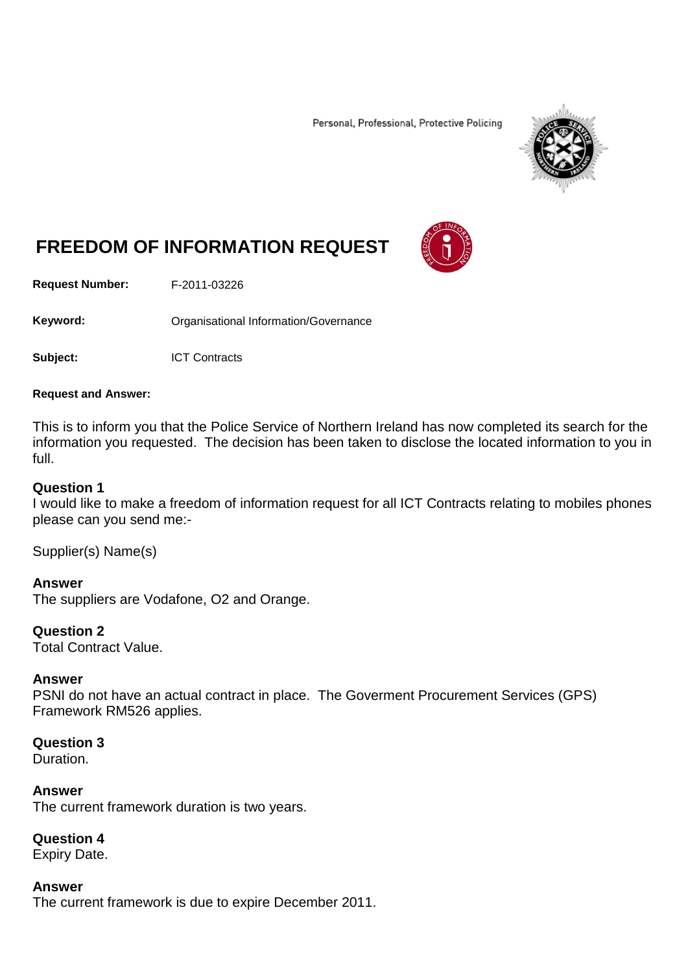Personal, Professional, Protective Policing



# **FREEDOM OF INFORMATION REQUEST**

**Request Number:** F-2011-03226

Keyword: **Communistry Communisties** Organisational Information/Governance

**Subject:** ICT Contracts

#### **Request and Answer:**

This is to inform you that the Police Service of Northern Ireland has now completed its search for the information you requested. The decision has been taken to disclose the located information to you in full.

#### **Question 1**

I would like to make a freedom of information request for all ICT Contracts relating to mobiles phones please can you send me:-

Supplier(s) Name(s)

**Answer** The suppliers are Vodafone, O2 and Orange.

### **Question 2**

Total Contract Value.

#### **Answer**

PSNI do not have an actual contract in place. The Goverment Procurement Services (GPS) Framework RM526 applies.

## **Question 3**

Duration.

**Answer** The current framework duration is two years.

**Question 4** Expiry Date.

**Answer** The current framework is due to expire December 2011.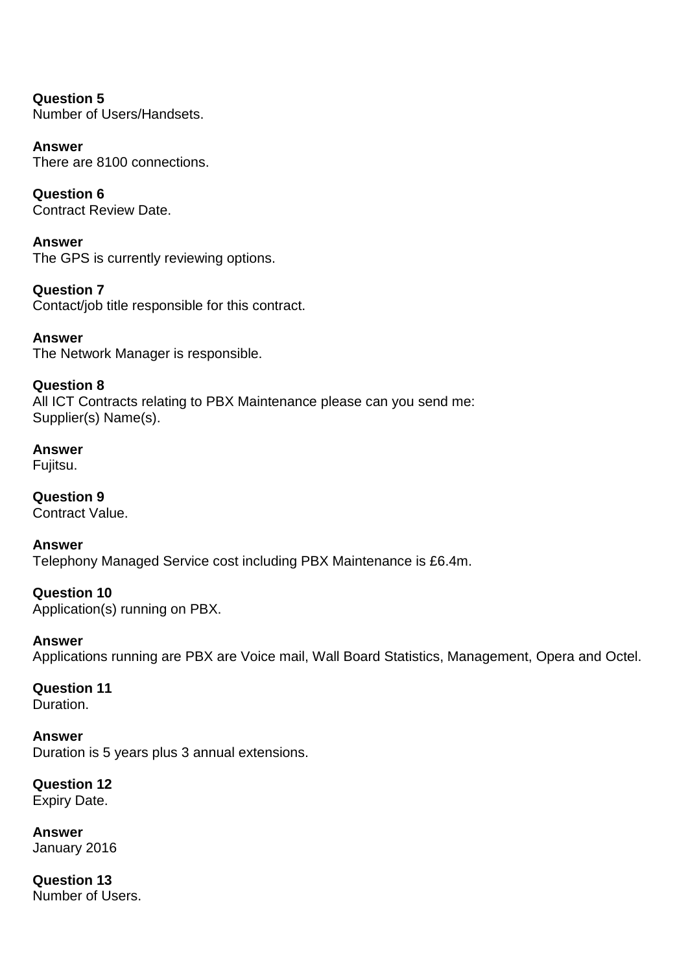**Question 5** Number of Users/Handsets.

**Answer** There are 8100 connections.

**Question 6** Contract Review Date.

**Answer** The GPS is currently reviewing options.

**Question 7** Contact/job title responsible for this contract.

**Answer** The Network Manager is responsible.

**Question 8** All ICT Contracts relating to PBX Maintenance please can you send me: Supplier(s) Name(s).

**Answer** Fujitsu.

**Question 9** Contract Value.

**Answer** Telephony Managed Service cost including PBX Maintenance is £6.4m.

**Question 10** Application(s) running on PBX.

**Answer** Applications running are PBX are Voice mail, Wall Board Statistics, Management, Opera and Octel.

**Question 11** Duration.

**Answer** Duration is 5 years plus 3 annual extensions.

**Question 12** Expiry Date.

**Answer** January 2016

**Question 13** Number of Users.